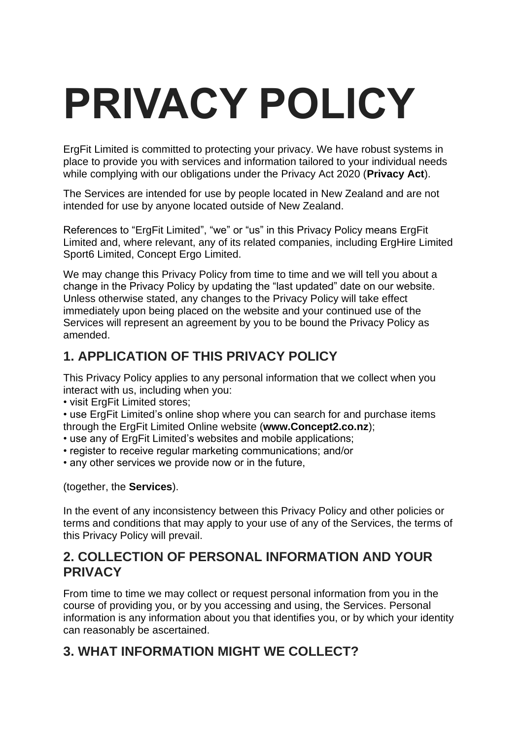# **PRIVACY POLICY**

ErgFit Limited is committed to protecting your privacy. We have robust systems in place to provide you with services and information tailored to your individual needs while complying with our obligations under the Privacy Act 2020 (**Privacy Act**).

The Services are intended for use by people located in New Zealand and are not intended for use by anyone located outside of New Zealand.

References to "ErgFit Limited", "we" or "us" in this Privacy Policy means ErgFit Limited and, where relevant, any of its related companies, including ErgHire Limited Sport6 Limited, Concept Ergo Limited.

We may change this Privacy Policy from time to time and we will tell you about a change in the Privacy Policy by updating the "last updated" date on our website. Unless otherwise stated, any changes to the Privacy Policy will take effect immediately upon being placed on the website and your continued use of the Services will represent an agreement by you to be bound the Privacy Policy as amended.

# **1. APPLICATION OF THIS PRIVACY POLICY**

This Privacy Policy applies to any personal information that we collect when you interact with us, including when you:

• visit ErgFit Limited stores;

• use ErgFit Limited's online shop where you can search for and purchase items through the ErgFit Limited Online website (**www.Concept2.co.nz**);

- use any of ErgFit Limited's websites and mobile applications;
- register to receive regular marketing communications; and/or
- any other services we provide now or in the future,

(together, the **Services**).

In the event of any inconsistency between this Privacy Policy and other policies or terms and conditions that may apply to your use of any of the Services, the terms of this Privacy Policy will prevail.

## **2. COLLECTION OF PERSONAL INFORMATION AND YOUR PRIVACY**

From time to time we may collect or request personal information from you in the course of providing you, or by you accessing and using, the Services. Personal information is any information about you that identifies you, or by which your identity can reasonably be ascertained.

# **3. WHAT INFORMATION MIGHT WE COLLECT?**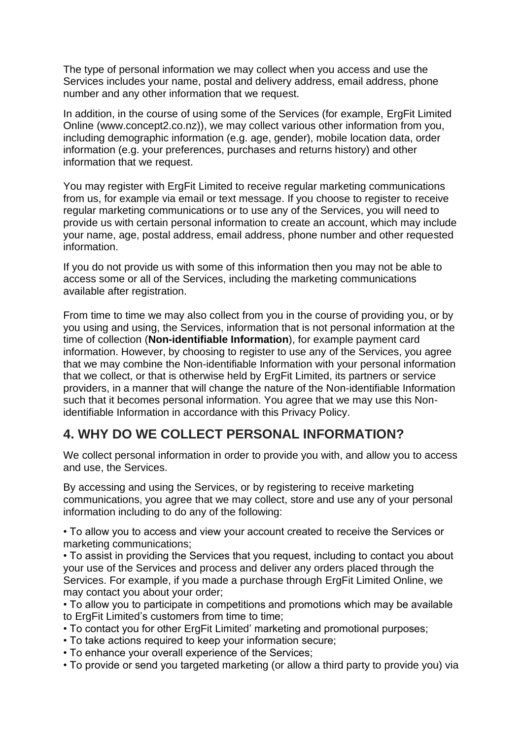The type of personal information we may collect when you access and use the Services includes your name, postal and delivery address, email address, phone number and any other information that we request.

In addition, in the course of using some of the Services (for example, ErgFit Limited Online (www.concept2.co.nz)), we may collect various other information from you, including demographic information (e.g. age, gender), mobile location data, order information (e.g. your preferences, purchases and returns history) and other information that we request.

You may register with ErgFit Limited to receive regular marketing communications from us, for example via email or text message. If you choose to register to receive regular marketing communications or to use any of the Services, you will need to provide us with certain personal information to create an account, which may include your name, age, postal address, email address, phone number and other requested information.

If you do not provide us with some of this information then you may not be able to access some or all of the Services, including the marketing communications available after registration.

From time to time we may also collect from you in the course of providing you, or by you using and using, the Services, information that is not personal information at the time of collection (**Non-identifiable Information**), for example payment card information. However, by choosing to register to use any of the Services, you agree that we may combine the Non-identifiable Information with your personal information that we collect, or that is otherwise held by ErgFit Limited, its partners or service providers, in a manner that will change the nature of the Non-identifiable Information such that it becomes personal information. You agree that we may use this Nonidentifiable Information in accordance with this Privacy Policy.

## **4. WHY DO WE COLLECT PERSONAL INFORMATION?**

We collect personal information in order to provide you with, and allow you to access and use, the Services.

By accessing and using the Services, or by registering to receive marketing communications, you agree that we may collect, store and use any of your personal information including to do any of the following:

• To allow you to access and view your account created to receive the Services or marketing communications;

• To assist in providing the Services that you request, including to contact you about your use of the Services and process and deliver any orders placed through the Services. For example, if you made a purchase through ErgFit Limited Online, we may contact you about your order;

• To allow you to participate in competitions and promotions which may be available to ErgFit Limited's customers from time to time;

- To contact you for other ErgFit Limited' marketing and promotional purposes;
- To take actions required to keep your information secure;
- To enhance your overall experience of the Services;
- To provide or send you targeted marketing (or allow a third party to provide you) via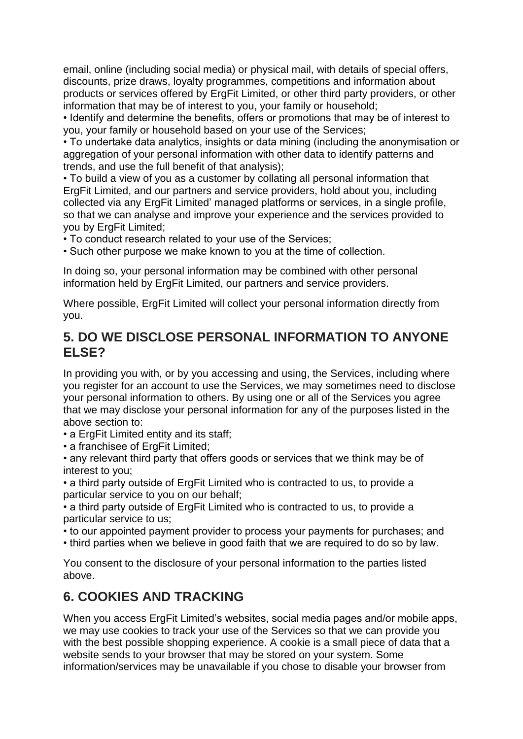email, online (including social media) or physical mail, with details of special offers, discounts, prize draws, loyalty programmes, competitions and information about products or services offered by ErgFit Limited, or other third party providers, or other information that may be of interest to you, your family or household;

• Identify and determine the benefits, offers or promotions that may be of interest to you, your family or household based on your use of the Services;

• To undertake data analytics, insights or data mining (including the anonymisation or aggregation of your personal information with other data to identify patterns and trends, and use the full benefit of that analysis);

• To build a view of you as a customer by collating all personal information that ErgFit Limited, and our partners and service providers, hold about you, including collected via any ErgFit Limited' managed platforms or services, in a single profile, so that we can analyse and improve your experience and the services provided to you by ErgFit Limited;

• To conduct research related to your use of the Services;

• Such other purpose we make known to you at the time of collection.

In doing so, your personal information may be combined with other personal information held by ErgFit Limited, our partners and service providers.

Where possible, ErgFit Limited will collect your personal information directly from you.

## **5. DO WE DISCLOSE PERSONAL INFORMATION TO ANYONE ELSE?**

In providing you with, or by you accessing and using, the Services, including where you register for an account to use the Services, we may sometimes need to disclose your personal information to others. By using one or all of the Services you agree that we may disclose your personal information for any of the purposes listed in the above section to:

• a ErgFit Limited entity and its staff;

• a franchisee of ErgFit Limited;

• any relevant third party that offers goods or services that we think may be of interest to you;

• a third party outside of ErgFit Limited who is contracted to us, to provide a particular service to you on our behalf;

• a third party outside of ErgFit Limited who is contracted to us, to provide a particular service to us;

• to our appointed payment provider to process your payments for purchases; and

• third parties when we believe in good faith that we are required to do so by law.

You consent to the disclosure of your personal information to the parties listed above.

## **6. COOKIES AND TRACKING**

When you access ErgFit Limited's websites, social media pages and/or mobile apps, we may use cookies to track your use of the Services so that we can provide you with the best possible shopping experience. A cookie is a small piece of data that a website sends to your browser that may be stored on your system. Some information/services may be unavailable if you chose to disable your browser from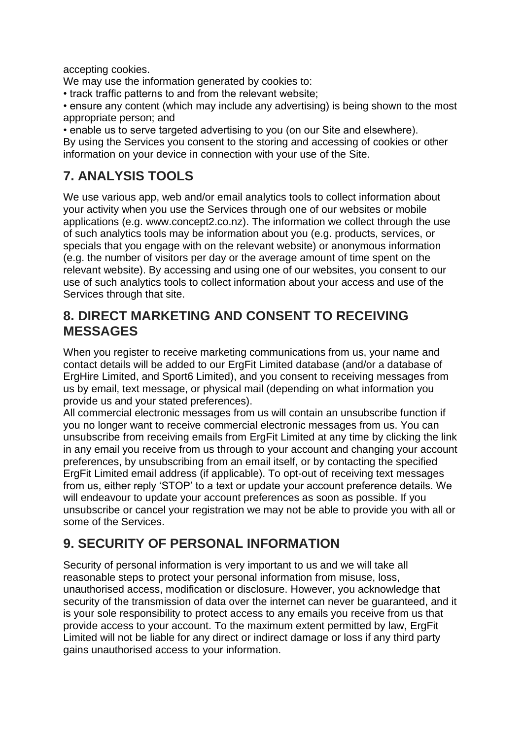accepting cookies.

We may use the information generated by cookies to:

- track traffic patterns to and from the relevant website;
- ensure any content (which may include any advertising) is being shown to the most appropriate person; and

• enable us to serve targeted advertising to you (on our Site and elsewhere).

By using the Services you consent to the storing and accessing of cookies or other information on your device in connection with your use of the Site.

# **7. ANALYSIS TOOLS**

We use various app, web and/or email analytics tools to collect information about your activity when you use the Services through one of our websites or mobile applications (e.g. www.concept2.co.nz). The information we collect through the use of such analytics tools may be information about you (e.g. products, services, or specials that you engage with on the relevant website) or anonymous information (e.g. the number of visitors per day or the average amount of time spent on the relevant website). By accessing and using one of our websites, you consent to our use of such analytics tools to collect information about your access and use of the Services through that site.

## **8. DIRECT MARKETING AND CONSENT TO RECEIVING MESSAGES**

When you register to receive marketing communications from us, your name and contact details will be added to our ErgFit Limited database (and/or a database of ErgHire Limited, and Sport6 Limited), and you consent to receiving messages from us by email, text message, or physical mail (depending on what information you provide us and your stated preferences).

All commercial electronic messages from us will contain an unsubscribe function if you no longer want to receive commercial electronic messages from us. You can unsubscribe from receiving emails from ErgFit Limited at any time by clicking the link in any email you receive from us through to your account and changing your account preferences, by unsubscribing from an email itself, or by contacting the specified ErgFit Limited email address (if applicable). To opt-out of receiving text messages from us, either reply 'STOP' to a text or update your account preference details. We will endeavour to update your account preferences as soon as possible. If you unsubscribe or cancel your registration we may not be able to provide you with all or some of the Services.

# **9. SECURITY OF PERSONAL INFORMATION**

Security of personal information is very important to us and we will take all reasonable steps to protect your personal information from misuse, loss, unauthorised access, modification or disclosure. However, you acknowledge that security of the transmission of data over the internet can never be guaranteed, and it is your sole responsibility to protect access to any emails you receive from us that provide access to your account. To the maximum extent permitted by law, ErgFit Limited will not be liable for any direct or indirect damage or loss if any third party gains unauthorised access to your information.